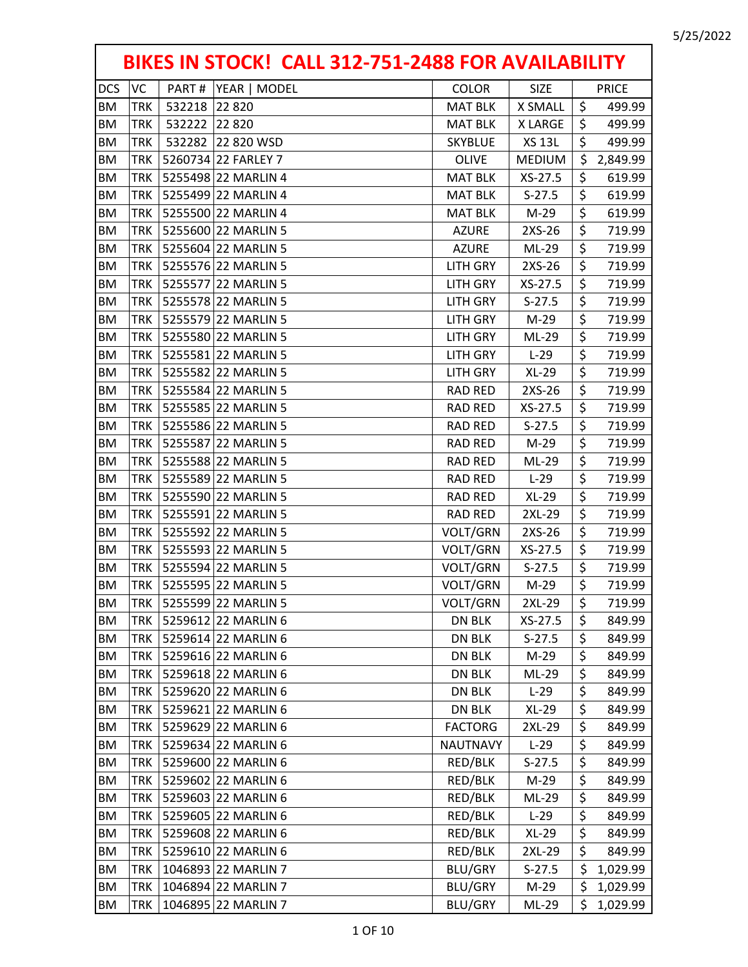| BIKES IN STOCK! CALL 312-751-2488 FOR AVAILABILITY |            |        |                     |                 |               |                  |              |  |
|----------------------------------------------------|------------|--------|---------------------|-----------------|---------------|------------------|--------------|--|
| <b>DCS</b>                                         | VC         | PART#  | YEAR   MODEL        | <b>COLOR</b>    | <b>SIZE</b>   |                  | <b>PRICE</b> |  |
| <b>BM</b>                                          | <b>TRK</b> | 532218 | 22 8 20             | <b>MAT BLK</b>  | X SMALL       | \$               | 499.99       |  |
| ΒM                                                 | TRK        | 532222 | 22 8 20             | <b>MAT BLK</b>  | X LARGE       | \$               | 499.99       |  |
| BM                                                 | <b>TRK</b> | 532282 | 22 820 WSD          | <b>SKYBLUE</b>  | <b>XS 13L</b> | \$               | 499.99       |  |
| <b>BM</b>                                          | TRK        |        | 5260734 22 FARLEY 7 | <b>OLIVE</b>    | <b>MEDIUM</b> | \$               | 2,849.99     |  |
| BM                                                 | TRK        |        | 5255498 22 MARLIN 4 | <b>MAT BLK</b>  | XS-27.5       | \$               | 619.99       |  |
| BM                                                 | <b>TRK</b> |        | 5255499 22 MARLIN 4 | <b>MAT BLK</b>  | $S-27.5$      | \$               | 619.99       |  |
| BM                                                 | TRK        |        | 5255500 22 MARLIN 4 | <b>MAT BLK</b>  | $M-29$        | \$               | 619.99       |  |
| BM                                                 | <b>TRK</b> |        | 5255600 22 MARLIN 5 | <b>AZURE</b>    | 2XS-26        | \$               | 719.99       |  |
| ΒM                                                 | TRK        |        | 5255604 22 MARLIN 5 | <b>AZURE</b>    | ML-29         | \$               | 719.99       |  |
| BM                                                 | <b>TRK</b> |        | 5255576 22 MARLIN 5 | <b>LITH GRY</b> | 2XS-26        | \$               | 719.99       |  |
| BM                                                 | <b>TRK</b> |        | 5255577 22 MARLIN 5 | <b>LITH GRY</b> | XS-27.5       | \$               | 719.99       |  |
| <b>BM</b>                                          | TRK        |        | 5255578 22 MARLIN 5 | <b>LITH GRY</b> | $S-27.5$      | \$               | 719.99       |  |
| <b>BM</b>                                          | <b>TRK</b> |        | 5255579 22 MARLIN 5 | <b>LITH GRY</b> | $M-29$        | \$               | 719.99       |  |
| <b>BM</b>                                          | <b>TRK</b> |        | 5255580 22 MARLIN 5 | <b>LITH GRY</b> | ML-29         | \$               | 719.99       |  |
| ΒM                                                 | TRK        |        | 5255581 22 MARLIN 5 | <b>LITH GRY</b> | $L-29$        | \$               | 719.99       |  |
| <b>BM</b>                                          | TRK        |        | 5255582 22 MARLIN 5 | <b>LITH GRY</b> | $XL-29$       | \$               | 719.99       |  |
| BM                                                 | TRK        |        | 5255584 22 MARLIN 5 | <b>RAD RED</b>  | 2XS-26        | \$               | 719.99       |  |
| BM                                                 | <b>TRK</b> |        | 5255585 22 MARLIN 5 | <b>RAD RED</b>  | XS-27.5       | \$               | 719.99       |  |
| ΒM                                                 | TRK        |        | 5255586 22 MARLIN 5 | <b>RAD RED</b>  | $S-27.5$      | \$               | 719.99       |  |
| <b>BM</b>                                          | TRK        |        | 5255587 22 MARLIN 5 | <b>RAD RED</b>  | $M-29$        | \$               | 719.99       |  |
| BM                                                 | TRK        |        | 5255588 22 MARLIN 5 | <b>RAD RED</b>  | ML-29         | \$               | 719.99       |  |
| BM                                                 | <b>TRK</b> |        | 5255589 22 MARLIN 5 | <b>RAD RED</b>  | $L-29$        | \$               | 719.99       |  |
| <b>BM</b>                                          | <b>TRK</b> |        | 5255590 22 MARLIN 5 | <b>RAD RED</b>  | $XL-29$       | \$               | 719.99       |  |
| BM                                                 | TRK        |        | 5255591 22 MARLIN 5 | <b>RAD RED</b>  | 2XL-29        | \$               | 719.99       |  |
| BM                                                 | TRK        |        | 5255592 22 MARLIN 5 | VOLT/GRN        | 2XS-26        | \$               | 719.99       |  |
| BM                                                 | TRK        |        | 5255593 22 MARLIN 5 | VOLT/GRN        | XS-27.5       | \$               | 719.99       |  |
| ΒM                                                 | TRK        |        | 5255594 22 MARLIN 5 | VOLT/GRN        | $S-27.5$      | \$               | 719.99       |  |
| BM                                                 | TRK        |        | 5255595 22 MARLIN 5 | VOLT/GRN        | $M-29$        | $\overline{\xi}$ | 719.99       |  |
| <b>BM</b>                                          | <b>TRK</b> |        | 5255599 22 MARLIN 5 | VOLT/GRN        | 2XL-29        | \$               | 719.99       |  |
| BM                                                 | <b>TRK</b> |        | 5259612 22 MARLIN 6 | <b>DN BLK</b>   | XS-27.5       | \$               | 849.99       |  |
| ΒM                                                 | TRK        |        | 5259614 22 MARLIN 6 | DN BLK          | $S-27.5$      | \$               | 849.99       |  |
| BM                                                 | TRK        |        | 5259616 22 MARLIN 6 | DN BLK          | M-29          | \$               | 849.99       |  |
| ВM                                                 | TRK        |        | 5259618 22 MARLIN 6 | DN BLK          | ML-29         | \$               | 849.99       |  |
| BM                                                 | TRK        |        | 5259620 22 MARLIN 6 | <b>DN BLK</b>   | $L-29$        | \$               | 849.99       |  |
| ВM                                                 | <b>TRK</b> |        | 5259621 22 MARLIN 6 | DN BLK          | XL-29         | \$               | 849.99       |  |
| ΒM                                                 | TRK        |        | 5259629 22 MARLIN 6 | <b>FACTORG</b>  | 2XL-29        | \$               | 849.99       |  |
| BM                                                 | <b>TRK</b> |        | 5259634 22 MARLIN 6 | <b>NAUTNAVY</b> | $L-29$        | \$               | 849.99       |  |
| ВM                                                 | TRK        |        | 5259600 22 MARLIN 6 | RED/BLK         | $S-27.5$      | \$               | 849.99       |  |
| BM                                                 | TRK        |        | 5259602 22 MARLIN 6 | RED/BLK         | $M-29$        | \$               | 849.99       |  |
| BM                                                 | TRK        |        | 5259603 22 MARLIN 6 | RED/BLK         | ML-29         | \$               | 849.99       |  |
| BM                                                 | TRK        |        | 5259605 22 MARLIN 6 | RED/BLK         | $L-29$        | \$               | 849.99       |  |
| BM                                                 | TRK        |        | 5259608 22 MARLIN 6 | RED/BLK         | $XL-29$       | \$               | 849.99       |  |
| ΒM                                                 | TRK        |        | 5259610 22 MARLIN 6 | RED/BLK         | 2XL-29        | \$               | 849.99       |  |
| ВM                                                 | TRK        |        | 1046893 22 MARLIN 7 | BLU/GRY         | $S-27.5$      | \$               | 1,029.99     |  |
| BM                                                 | TRK        |        | 1046894 22 MARLIN 7 | BLU/GRY         | M-29          | \$               | 1,029.99     |  |
| ВM                                                 | TRK        |        | 1046895 22 MARLIN 7 | BLU/GRY         | ML-29         | \$               | 1,029.99     |  |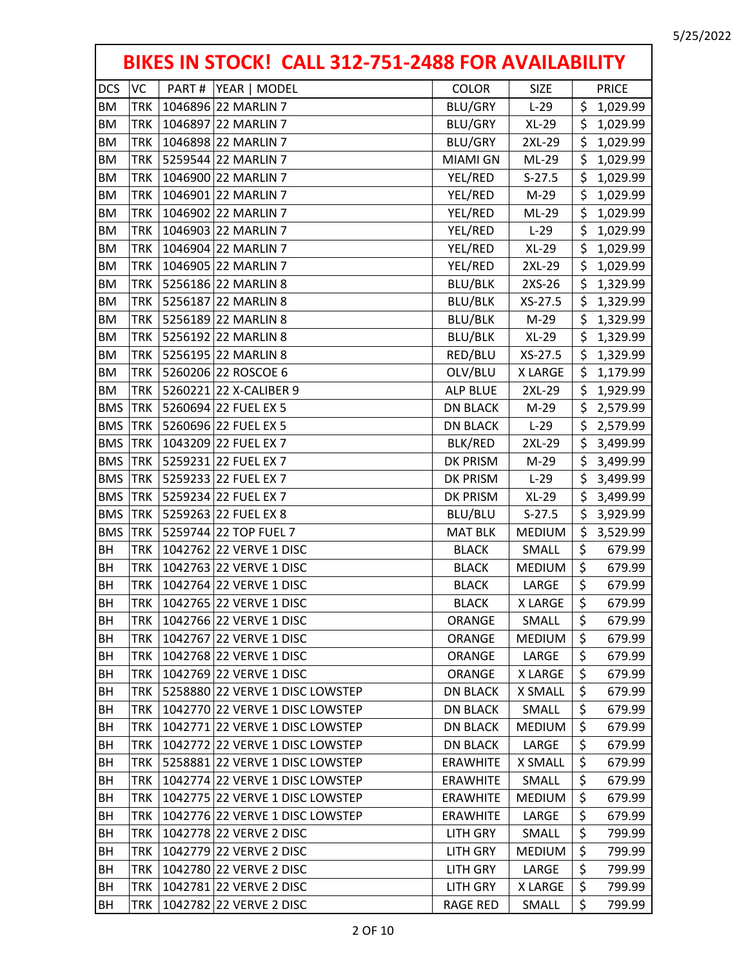| BIKES IN STOCK! CALL 312-751-2488 FOR AVAILABILITY |            |       |                                 |                 |               |    |              |  |
|----------------------------------------------------|------------|-------|---------------------------------|-----------------|---------------|----|--------------|--|
| <b>DCS</b>                                         | VC         | PART# | YEAR   MODEL                    | <b>COLOR</b>    | <b>SIZE</b>   |    | <b>PRICE</b> |  |
| <b>BM</b>                                          | <b>TRK</b> |       | 1046896 22 MARLIN 7             | BLU/GRY         | $L-29$        | \$ | 1,029.99     |  |
| <b>BM</b>                                          | <b>TRK</b> |       | 1046897 22 MARLIN 7             | BLU/GRY         | $XL-29$       | \$ | 1,029.99     |  |
| <b>BM</b>                                          | <b>TRK</b> |       | 1046898 22 MARLIN 7             | BLU/GRY         | 2XL-29        | \$ | 1,029.99     |  |
| <b>BM</b>                                          | <b>TRK</b> |       | 5259544 22 MARLIN 7             | <b>MIAMI GN</b> | ML-29         | \$ | 1,029.99     |  |
| ΒM                                                 | <b>TRK</b> |       | 1046900 22 MARLIN 7             | YEL/RED         | $S-27.5$      | \$ | 1,029.99     |  |
| <b>BM</b>                                          | <b>TRK</b> |       | 1046901 22 MARLIN 7             | YEL/RED         | $M-29$        | \$ | 1,029.99     |  |
| <b>BM</b>                                          | <b>TRK</b> |       | 1046902 22 MARLIN 7             | YEL/RED         | ML-29         | \$ | 1,029.99     |  |
| <b>BM</b>                                          | <b>TRK</b> |       | 1046903 22 MARLIN 7             | YEL/RED         | $L-29$        | \$ | 1,029.99     |  |
| <b>BM</b>                                          | <b>TRK</b> |       | 1046904 22 MARLIN 7             | YEL/RED         | $XL-29$       | \$ | 1,029.99     |  |
| ΒM                                                 | <b>TRK</b> |       | 1046905 22 MARLIN 7             | YEL/RED         | 2XL-29        | \$ | 1,029.99     |  |
| <b>BM</b>                                          | <b>TRK</b> |       | 5256186 22 MARLIN 8             | <b>BLU/BLK</b>  | 2XS-26        | \$ | 1,329.99     |  |
| ΒM                                                 | <b>TRK</b> |       | 5256187 22 MARLIN 8             | <b>BLU/BLK</b>  | XS-27.5       | \$ | 1,329.99     |  |
| <b>BM</b>                                          | <b>TRK</b> |       | 5256189 22 MARLIN 8             | <b>BLU/BLK</b>  | $M-29$        | \$ | 1,329.99     |  |
| ΒM                                                 | <b>TRK</b> |       | 5256192 22 MARLIN 8             | <b>BLU/BLK</b>  | $XL-29$       | \$ | 1,329.99     |  |
| ΒM                                                 | <b>TRK</b> |       | 5256195 22 MARLIN 8             | RED/BLU         | XS-27.5       | \$ | 1,329.99     |  |
| <b>BM</b>                                          | <b>TRK</b> |       | 5260206 22 ROSCOE 6             | OLV/BLU         | X LARGE       | \$ | 1,179.99     |  |
| ΒM                                                 | <b>TRK</b> |       | 5260221 22 X-CALIBER 9          | <b>ALP BLUE</b> | 2XL-29        | \$ | 1,929.99     |  |
| <b>BMS</b>                                         | <b>TRK</b> |       | 5260694 22 FUEL EX 5            | <b>DN BLACK</b> | $M-29$        | \$ | 2,579.99     |  |
| <b>BMS</b>                                         | <b>TRK</b> |       | 5260696 22 FUEL EX 5            | <b>DN BLACK</b> | $L-29$        | \$ | 2,579.99     |  |
| <b>BMS</b>                                         | <b>TRK</b> |       | 1043209 22 FUEL EX 7            | BLK/RED         | 2XL-29        | \$ | 3,499.99     |  |
| <b>BMS</b>                                         | <b>TRK</b> |       | 5259231 22 FUEL EX 7            | DK PRISM        | $M-29$        | \$ | 3,499.99     |  |
| <b>BMS</b>                                         | <b>TRK</b> |       | 5259233 22 FUEL EX 7            | DK PRISM        | $L-29$        | \$ | 3,499.99     |  |
| <b>BMS</b>                                         | <b>TRK</b> |       | 5259234 22 FUEL EX 7            | DK PRISM        | $XL-29$       | \$ | 3,499.99     |  |
| <b>BMS</b>                                         | <b>TRK</b> |       | 5259263 22 FUEL EX 8            | BLU/BLU         | $S-27.5$      | \$ | 3,929.99     |  |
| <b>BMS</b>                                         | <b>TRK</b> |       | 5259744 22 TOP FUEL 7           | <b>MAT BLK</b>  | <b>MEDIUM</b> | \$ | 3,529.99     |  |
| BH                                                 | <b>TRK</b> |       | 1042762 22 VERVE 1 DISC         | <b>BLACK</b>    | SMALL         | \$ | 679.99       |  |
| BH                                                 | <b>TRK</b> |       | 1042763 22 VERVE 1 DISC         | <b>BLACK</b>    | <b>MEDIUM</b> | \$ | 679.99       |  |
| <b>BH</b>                                          | <b>TRK</b> |       | 1042764 22 VERVE 1 DISC         | <b>BLACK</b>    | LARGE         | \$ | 679.99       |  |
| BH                                                 | <b>TRK</b> |       | 1042765 22 VERVE 1 DISC         | <b>BLACK</b>    | <b>XLARGE</b> | \$ | 679.99       |  |
| BH                                                 | <b>TRK</b> |       | 1042766 22 VERVE 1 DISC         | ORANGE          | SMALL         | \$ | 679.99       |  |
| BH                                                 | TRK        |       | 1042767 22 VERVE 1 DISC         | ORANGE          | <b>MEDIUM</b> | \$ | 679.99       |  |
| BH                                                 | <b>TRK</b> |       | 1042768 22 VERVE 1 DISC         | ORANGE          | LARGE         | \$ | 679.99       |  |
| BH                                                 | TRK        |       | 1042769 22 VERVE 1 DISC         | ORANGE          | X LARGE       | \$ | 679.99       |  |
| BH                                                 | TRK        |       | 5258880 22 VERVE 1 DISC LOWSTEP | <b>DN BLACK</b> | X SMALL       | \$ | 679.99       |  |
| BH                                                 | <b>TRK</b> |       | 1042770 22 VERVE 1 DISC LOWSTEP | <b>DN BLACK</b> | SMALL         | \$ | 679.99       |  |
| BH                                                 | TRK        |       | 1042771 22 VERVE 1 DISC LOWSTEP | <b>DN BLACK</b> | <b>MEDIUM</b> | \$ | 679.99       |  |
| BH                                                 | <b>TRK</b> |       | 1042772 22 VERVE 1 DISC LOWSTEP | <b>DN BLACK</b> | LARGE         | \$ | 679.99       |  |
| BH                                                 | TRK        |       | 5258881 22 VERVE 1 DISC LOWSTEP | <b>ERAWHITE</b> | X SMALL       | \$ | 679.99       |  |
| BH                                                 | TRK        |       | 1042774 22 VERVE 1 DISC LOWSTEP | <b>ERAWHITE</b> | SMALL         | \$ | 679.99       |  |
| BH                                                 | TRK        |       | 1042775 22 VERVE 1 DISC LOWSTEP | <b>ERAWHITE</b> | <b>MEDIUM</b> | \$ | 679.99       |  |
| BH                                                 | <b>TRK</b> |       | 1042776 22 VERVE 1 DISC LOWSTEP | <b>ERAWHITE</b> | LARGE         | \$ | 679.99       |  |
| BH                                                 | <b>TRK</b> |       | 1042778 22 VERVE 2 DISC         | LITH GRY        | SMALL         | \$ | 799.99       |  |
| BH                                                 | TRK        |       | 1042779 22 VERVE 2 DISC         | <b>LITH GRY</b> | <b>MEDIUM</b> | \$ | 799.99       |  |
| BH                                                 | <b>TRK</b> |       | 1042780 22 VERVE 2 DISC         | LITH GRY        | LARGE         | \$ | 799.99       |  |
| BH                                                 | TRK        |       | 1042781 22 VERVE 2 DISC         | <b>LITH GRY</b> | X LARGE       | \$ | 799.99       |  |
| BH                                                 | <b>TRK</b> |       | 1042782 22 VERVE 2 DISC         | RAGE RED        | SMALL         | \$ | 799.99       |  |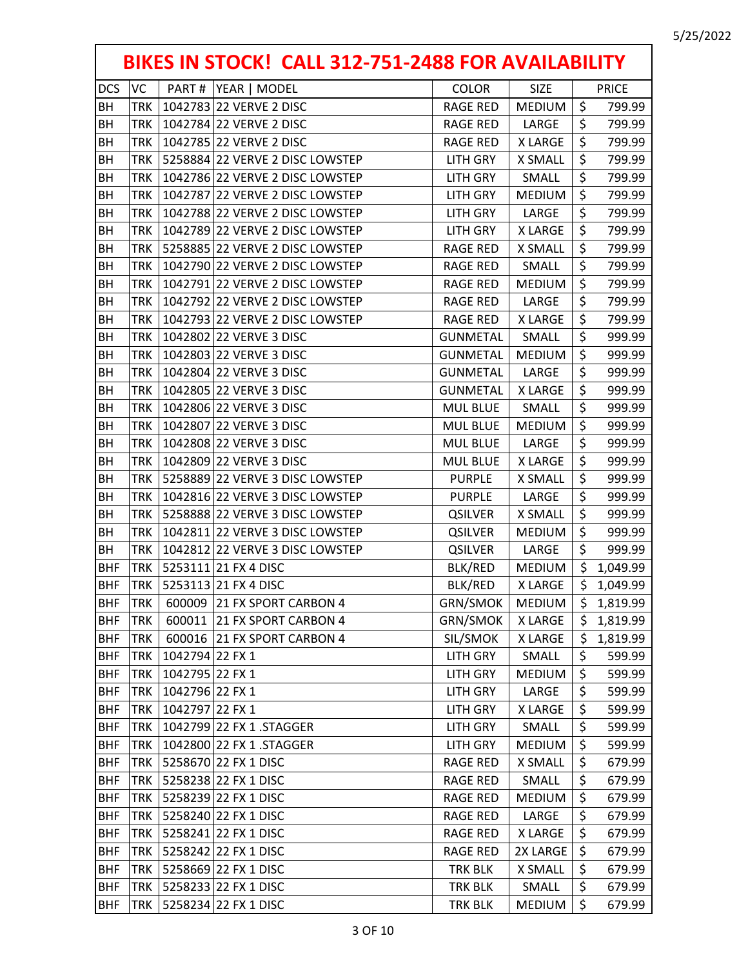| BIKES IN STOCK! CALL 312-751-2488 FOR AVAILABILITY |            |                                 |                 |                |         |              |  |  |
|----------------------------------------------------|------------|---------------------------------|-----------------|----------------|---------|--------------|--|--|
| <b>DCS</b>                                         | VC         | PART#<br>YEAR   MODEL           | <b>COLOR</b>    | <b>SIZE</b>    |         | <b>PRICE</b> |  |  |
| BH                                                 | <b>TRK</b> | 1042783 22 VERVE 2 DISC         | <b>RAGE RED</b> | <b>MEDIUM</b>  | $\zeta$ | 799.99       |  |  |
| BH                                                 | <b>TRK</b> | 1042784 22 VERVE 2 DISC         | <b>RAGE RED</b> | LARGE          | \$      | 799.99       |  |  |
| BH                                                 | <b>TRK</b> | 1042785 22 VERVE 2 DISC         | <b>RAGE RED</b> | <b>X LARGE</b> | \$      | 799.99       |  |  |
| BH                                                 | <b>TRK</b> | 5258884 22 VERVE 2 DISC LOWSTEP | <b>LITH GRY</b> | <b>X SMALL</b> | \$      | 799.99       |  |  |
| BH                                                 | <b>TRK</b> | 1042786 22 VERVE 2 DISC LOWSTEP | <b>LITH GRY</b> | SMALL          | \$      | 799.99       |  |  |
| BH                                                 | <b>TRK</b> | 1042787 22 VERVE 2 DISC LOWSTEP | <b>LITH GRY</b> | <b>MEDIUM</b>  | \$      | 799.99       |  |  |
| BH                                                 | <b>TRK</b> | 1042788 22 VERVE 2 DISC LOWSTEP | <b>LITH GRY</b> | LARGE          | \$      | 799.99       |  |  |
| BH                                                 | <b>TRK</b> | 1042789 22 VERVE 2 DISC LOWSTEP | <b>LITH GRY</b> | X LARGE        | \$      | 799.99       |  |  |
| BH                                                 | <b>TRK</b> | 5258885 22 VERVE 2 DISC LOWSTEP | <b>RAGE RED</b> | X SMALL        | \$      | 799.99       |  |  |
| BH                                                 | <b>TRK</b> | 1042790 22 VERVE 2 DISC LOWSTEP | <b>RAGE RED</b> | SMALL          | \$      | 799.99       |  |  |
| BH                                                 | <b>TRK</b> | 1042791 22 VERVE 2 DISC LOWSTEP | <b>RAGE RED</b> | <b>MEDIUM</b>  | \$      | 799.99       |  |  |
| BH                                                 | <b>TRK</b> | 1042792 22 VERVE 2 DISC LOWSTEP | <b>RAGE RED</b> | LARGE          | \$      | 799.99       |  |  |
| BH                                                 | <b>TRK</b> | 1042793 22 VERVE 2 DISC LOWSTEP | <b>RAGE RED</b> | <b>XLARGE</b>  | \$      | 799.99       |  |  |
| BH                                                 | TRK        | 1042802 22 VERVE 3 DISC         | <b>GUNMETAL</b> | SMALL          | \$      | 999.99       |  |  |
| BH                                                 | <b>TRK</b> | 1042803 22 VERVE 3 DISC         | <b>GUNMETAL</b> | <b>MEDIUM</b>  | \$      | 999.99       |  |  |
| BH                                                 | <b>TRK</b> | 1042804 22 VERVE 3 DISC         | <b>GUNMETAL</b> | LARGE          | \$      | 999.99       |  |  |
| BH                                                 | <b>TRK</b> | 1042805 22 VERVE 3 DISC         | <b>GUNMETAL</b> | <b>XLARGE</b>  | \$      | 999.99       |  |  |
| BH                                                 | <b>TRK</b> | 1042806 22 VERVE 3 DISC         | <b>MUL BLUE</b> | SMALL          | \$      | 999.99       |  |  |
| BH                                                 | <b>TRK</b> | 1042807 22 VERVE 3 DISC         | <b>MUL BLUE</b> | <b>MEDIUM</b>  | \$      | 999.99       |  |  |
| BH                                                 | <b>TRK</b> | 1042808 22 VERVE 3 DISC         | <b>MUL BLUE</b> | LARGE          | \$      | 999.99       |  |  |
| BH                                                 | <b>TRK</b> | 1042809 22 VERVE 3 DISC         | <b>MUL BLUE</b> | X LARGE        | \$      | 999.99       |  |  |
| BH                                                 | <b>TRK</b> | 5258889 22 VERVE 3 DISC LOWSTEP | <b>PURPLE</b>   | <b>X SMALL</b> | \$      | 999.99       |  |  |
| <b>BH</b>                                          | <b>TRK</b> | 1042816 22 VERVE 3 DISC LOWSTEP | <b>PURPLE</b>   | LARGE          | \$      | 999.99       |  |  |
| BH                                                 | <b>TRK</b> | 5258888 22 VERVE 3 DISC LOWSTEP | <b>QSILVER</b>  | <b>X SMALL</b> | \$      | 999.99       |  |  |
| BH                                                 | <b>TRK</b> | 1042811 22 VERVE 3 DISC LOWSTEP | <b>QSILVER</b>  | <b>MEDIUM</b>  | \$      | 999.99       |  |  |
| BH                                                 | <b>TRK</b> | 1042812 22 VERVE 3 DISC LOWSTEP | <b>QSILVER</b>  | LARGE          | \$      | 999.99       |  |  |
| <b>BHF</b>                                         | <b>TRK</b> | 5253111 21 FX 4 DISC            | BLK/RED         | <b>MEDIUM</b>  | \$      | 1,049.99     |  |  |
| <b>BHF</b>                                         | <b>TRK</b> | 5253113 21 FX 4 DISC            | <b>BLK/RED</b>  | X LARGE        | \$      | 1,049.99     |  |  |
| <b>BHF</b>                                         | <b>TRK</b> | 600009 21 FX SPORT CARBON 4     | GRN/SMOK        | <b>MEDIUM</b>  | \$      | 1,819.99     |  |  |
| <b>BHF</b>                                         | <b>TRK</b> | 600011 21 FX SPORT CARBON 4     | <b>GRN/SMOK</b> | <b>XLARGE</b>  | \$      | 1,819.99     |  |  |
| <b>BHF</b>                                         | <b>TRK</b> | 600016 21 FX SPORT CARBON 4     | SIL/SMOK        | X LARGE        | \$      | 1,819.99     |  |  |
| <b>BHF</b>                                         | <b>TRK</b> | 1042794 22 FX 1                 | LITH GRY        | SMALL          | \$      | 599.99       |  |  |
| <b>BHF</b>                                         | <b>TRK</b> | 1042795 22 FX 1                 | <b>LITH GRY</b> | <b>MEDIUM</b>  | \$      | 599.99       |  |  |
| <b>BHF</b>                                         | <b>TRK</b> | 1042796 22 FX 1                 | LITH GRY        | LARGE          | \$      | 599.99       |  |  |
| <b>BHF</b>                                         | <b>TRK</b> | 1042797 22 FX 1                 | <b>LITH GRY</b> | X LARGE        | \$      | 599.99       |  |  |
| <b>BHF</b>                                         | <b>TRK</b> | 1042799 22 FX 1 .STAGGER        | <b>LITH GRY</b> | SMALL          | \$      | 599.99       |  |  |
| <b>BHF</b>                                         | <b>TRK</b> | 1042800 22 FX 1 .STAGGER        | <b>LITH GRY</b> | <b>MEDIUM</b>  | \$      | 599.99       |  |  |
| <b>BHF</b>                                         | <b>TRK</b> | 5258670 22 FX 1 DISC            | <b>RAGE RED</b> | X SMALL        | \$      | 679.99       |  |  |
| <b>BHF</b>                                         | <b>TRK</b> | 5258238 22 FX 1 DISC            | <b>RAGE RED</b> | SMALL          | \$      | 679.99       |  |  |
| <b>BHF</b>                                         | <b>TRK</b> | 5258239 22 FX 1 DISC            | <b>RAGE RED</b> | <b>MEDIUM</b>  | \$      | 679.99       |  |  |
| <b>BHF</b>                                         | <b>TRK</b> | 5258240 22 FX 1 DISC            | <b>RAGE RED</b> | LARGE          | \$      | 679.99       |  |  |
| <b>BHF</b>                                         | <b>TRK</b> | 5258241 22 FX 1 DISC            | <b>RAGE RED</b> | X LARGE        | \$      | 679.99       |  |  |
| <b>BHF</b>                                         | <b>TRK</b> | 5258242 22 FX 1 DISC            | <b>RAGE RED</b> | 2X LARGE       | \$      | 679.99       |  |  |
| <b>BHF</b>                                         | <b>TRK</b> | 5258669 22 FX 1 DISC            | TRK BLK         | <b>X SMALL</b> | \$      | 679.99       |  |  |
| <b>BHF</b>                                         | <b>TRK</b> | 5258233 22 FX 1 DISC            | TRK BLK         | SMALL          | \$      | 679.99       |  |  |
| <b>BHF</b>                                         | <b>TRK</b> | 5258234 22 FX 1 DISC            | TRK BLK         | <b>MEDIUM</b>  | \$      | 679.99       |  |  |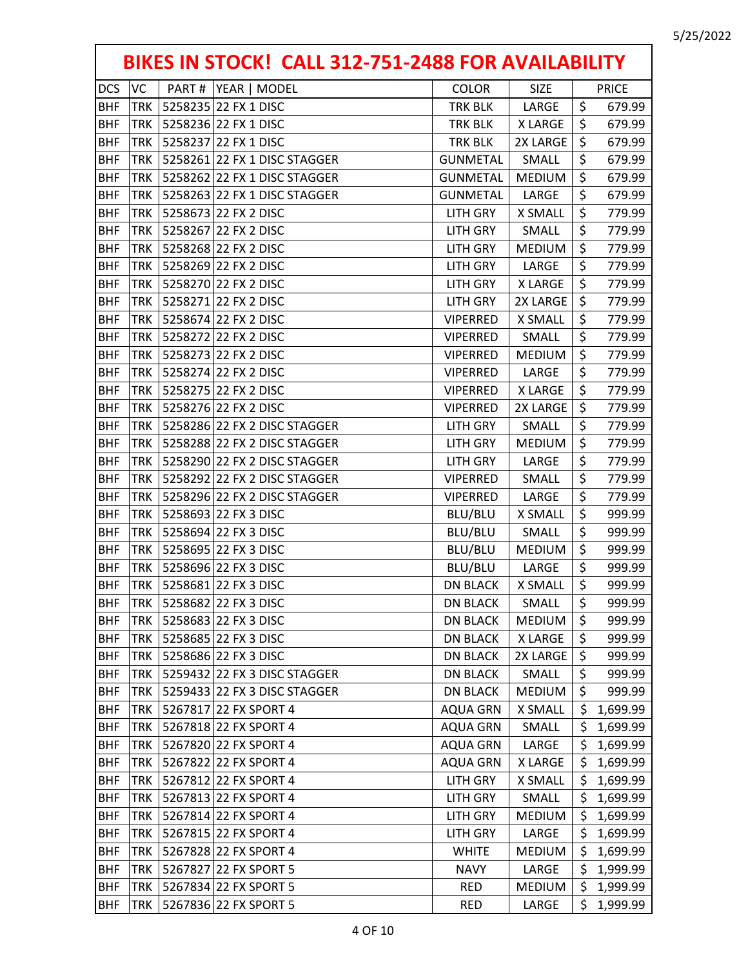| BIKES IN STOCK! CALL 312-751-2488 FOR AVAILABILITY |            |                              |                 |                |     |              |  |  |
|----------------------------------------------------|------------|------------------------------|-----------------|----------------|-----|--------------|--|--|
| <b>DCS</b>                                         | VC         | PART#<br> YEAR   MODEL       | <b>COLOR</b>    | <b>SIZE</b>    |     | <b>PRICE</b> |  |  |
| <b>BHF</b>                                         | <b>TRK</b> | 5258235 22 FX 1 DISC         | TRK BLK         | LARGE          | \$  | 679.99       |  |  |
| <b>BHF</b>                                         | <b>TRK</b> | 5258236 22 FX 1 DISC         | TRK BLK         | <b>XLARGE</b>  | \$  | 679.99       |  |  |
| <b>BHF</b>                                         | <b>TRK</b> | 5258237 22 FX 1 DISC         | TRK BLK         | 2X LARGE       | \$  | 679.99       |  |  |
| <b>BHF</b>                                         | <b>TRK</b> | 5258261 22 FX 1 DISC STAGGER | <b>GUNMETAL</b> | SMALL          | \$  | 679.99       |  |  |
| <b>BHF</b>                                         | <b>TRK</b> | 5258262 22 FX 1 DISC STAGGER | <b>GUNMETAL</b> | <b>MEDIUM</b>  | \$  | 679.99       |  |  |
| <b>BHF</b>                                         | <b>TRK</b> | 5258263 22 FX 1 DISC STAGGER | <b>GUNMETAL</b> | LARGE          | \$  | 679.99       |  |  |
| <b>BHF</b>                                         | <b>TRK</b> | 5258673 22 FX 2 DISC         | <b>LITH GRY</b> | X SMALL        | \$  | 779.99       |  |  |
| <b>BHF</b>                                         | <b>TRK</b> | 5258267 22 FX 2 DISC         | <b>LITH GRY</b> | SMALL          | \$  | 779.99       |  |  |
| <b>BHF</b>                                         | <b>TRK</b> | 5258268 22 FX 2 DISC         | <b>LITH GRY</b> | <b>MEDIUM</b>  | \$  | 779.99       |  |  |
| <b>BHF</b>                                         | <b>TRK</b> | 5258269 22 FX 2 DISC         | <b>LITH GRY</b> | LARGE          | \$  | 779.99       |  |  |
| <b>BHF</b>                                         | <b>TRK</b> | 5258270 22 FX 2 DISC         | <b>LITH GRY</b> | X LARGE        | \$  | 779.99       |  |  |
| <b>BHF</b>                                         | <b>TRK</b> | 5258271 22 FX 2 DISC         | <b>LITH GRY</b> | 2X LARGE       | \$  | 779.99       |  |  |
| <b>BHF</b>                                         | <b>TRK</b> | 5258674 22 FX 2 DISC         | <b>VIPERRED</b> | <b>X SMALL</b> | \$  | 779.99       |  |  |
| <b>BHF</b>                                         | <b>TRK</b> | 5258272 22 FX 2 DISC         | <b>VIPERRED</b> | SMALL          | \$  | 779.99       |  |  |
| <b>BHF</b>                                         | <b>TRK</b> | 5258273 22 FX 2 DISC         | <b>VIPERRED</b> | <b>MEDIUM</b>  | \$  | 779.99       |  |  |
| <b>BHF</b>                                         | <b>TRK</b> | 5258274 22 FX 2 DISC         | <b>VIPERRED</b> | LARGE          | \$  | 779.99       |  |  |
| <b>BHF</b>                                         | <b>TRK</b> | 5258275 22 FX 2 DISC         | <b>VIPERRED</b> | <b>X LARGE</b> | \$  | 779.99       |  |  |
| <b>BHF</b>                                         | <b>TRK</b> | 5258276 22 FX 2 DISC         | <b>VIPERRED</b> | 2X LARGE       | \$  | 779.99       |  |  |
| <b>BHF</b>                                         | <b>TRK</b> | 5258286 22 FX 2 DISC STAGGER | <b>LITH GRY</b> | SMALL          | \$  | 779.99       |  |  |
| <b>BHF</b>                                         | <b>TRK</b> | 5258288 22 FX 2 DISC STAGGER | <b>LITH GRY</b> | <b>MEDIUM</b>  | \$  | 779.99       |  |  |
| <b>BHF</b>                                         | <b>TRK</b> | 5258290 22 FX 2 DISC STAGGER | <b>LITH GRY</b> | LARGE          | \$  | 779.99       |  |  |
| <b>BHF</b>                                         | <b>TRK</b> | 5258292 22 FX 2 DISC STAGGER | <b>VIPERRED</b> | SMALL          | \$  | 779.99       |  |  |
| <b>BHF</b>                                         | <b>TRK</b> | 5258296 22 FX 2 DISC STAGGER | <b>VIPERRED</b> | LARGE          | \$  | 779.99       |  |  |
| <b>BHF</b>                                         | <b>TRK</b> | 5258693 22 FX 3 DISC         | BLU/BLU         | X SMALL        | \$  | 999.99       |  |  |
| <b>BHF</b>                                         | <b>TRK</b> | 5258694 22 FX 3 DISC         | BLU/BLU         | SMALL          | \$  | 999.99       |  |  |
| <b>BHF</b>                                         | <b>TRK</b> | 5258695 22 FX 3 DISC         | BLU/BLU         | <b>MEDIUM</b>  | \$  | 999.99       |  |  |
| <b>BHF</b>                                         | <b>TRK</b> | 5258696 22 FX 3 DISC         | BLU/BLU         | LARGE          | \$  | 999.99       |  |  |
| <b>BHF</b>                                         | <b>TRK</b> | 5258681 22 FX 3 DISC         | <b>DN BLACK</b> | X SMALL        | \$  | 999.99       |  |  |
| <b>BHF</b>                                         | <b>TRK</b> | 5258682 22 FX 3 DISC         | <b>DN BLACK</b> | SMALL          | \$  | 999.99       |  |  |
| <b>BHF</b>                                         | <b>TRK</b> | 5258683 22 FX 3 DISC         | <b>DN BLACK</b> | <b>MEDIUM</b>  | \$  | 999.99       |  |  |
| <b>BHF</b>                                         | TRK        | 5258685 22 FX 3 DISC         | <b>DN BLACK</b> | X LARGE        | \$  | 999.99       |  |  |
| <b>BHF</b>                                         | <b>TRK</b> | 5258686 22 FX 3 DISC         | <b>DN BLACK</b> | 2X LARGE       | \$  | 999.99       |  |  |
| <b>BHF</b>                                         | <b>TRK</b> | 5259432 22 FX 3 DISC STAGGER | <b>DN BLACK</b> | SMALL          | \$  | 999.99       |  |  |
| <b>BHF</b>                                         | <b>TRK</b> | 5259433 22 FX 3 DISC STAGGER | <b>DN BLACK</b> | <b>MEDIUM</b>  | \$  | 999.99       |  |  |
| <b>BHF</b>                                         | <b>TRK</b> | 5267817 22 FX SPORT 4        | <b>AQUA GRN</b> | X SMALL        | \$  | 1,699.99     |  |  |
| <b>BHF</b>                                         | <b>TRK</b> | 5267818 22 FX SPORT 4        | <b>AQUA GRN</b> | SMALL          | \$  | 1,699.99     |  |  |
| <b>BHF</b>                                         | <b>TRK</b> | 5267820 22 FX SPORT 4        | <b>AQUA GRN</b> | LARGE          | \$  | 1,699.99     |  |  |
| <b>BHF</b>                                         | <b>TRK</b> | 5267822 22 FX SPORT 4        | <b>AQUA GRN</b> | X LARGE        | \$  | 1,699.99     |  |  |
| <b>BHF</b>                                         | <b>TRK</b> | 5267812 22 FX SPORT 4        | LITH GRY        | X SMALL        | \$  | 1,699.99     |  |  |
| <b>BHF</b>                                         | <b>TRK</b> | 5267813 22 FX SPORT 4        | <b>LITH GRY</b> | SMALL          | \$  | 1,699.99     |  |  |
| <b>BHF</b>                                         | <b>TRK</b> | 5267814 22 FX SPORT 4        | <b>LITH GRY</b> | <b>MEDIUM</b>  | \$  | 1,699.99     |  |  |
| <b>BHF</b>                                         | <b>TRK</b> | 5267815 22 FX SPORT 4        | <b>LITH GRY</b> | LARGE          | \$  | 1,699.99     |  |  |
| <b>BHF</b>                                         | <b>TRK</b> | 5267828 22 FX SPORT 4        | <b>WHITE</b>    | <b>MEDIUM</b>  | \$  | 1,699.99     |  |  |
| <b>BHF</b>                                         | <b>TRK</b> | 5267827 22 FX SPORT 5        | <b>NAVY</b>     | LARGE          | \$  | 1,999.99     |  |  |
| <b>BHF</b>                                         | TRK        | 5267834 22 FX SPORT 5        | <b>RED</b>      | <b>MEDIUM</b>  | \$. | 1,999.99     |  |  |
| <b>BHF</b>                                         | <b>TRK</b> | 5267836 22 FX SPORT 5        | <b>RED</b>      | LARGE          | \$  | 1,999.99     |  |  |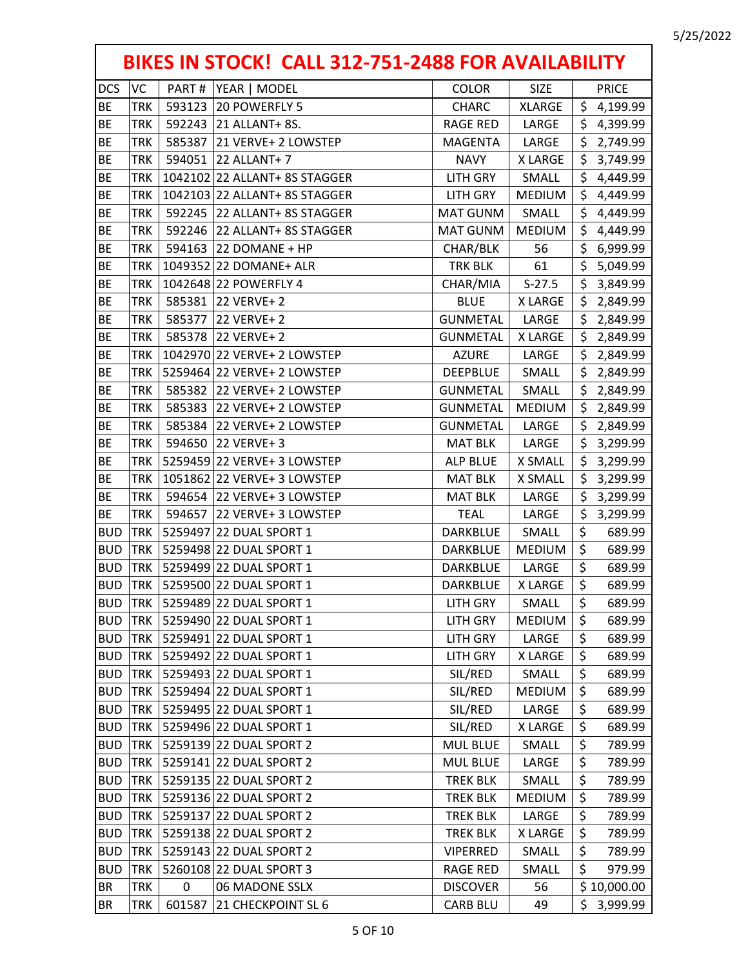| BIKES IN STOCK! CALL 312-751-2488 FOR AVAILABILITY |            |        |                               |                 |                |     |              |  |
|----------------------------------------------------|------------|--------|-------------------------------|-----------------|----------------|-----|--------------|--|
| <b>DCS</b>                                         | <b>VC</b>  | PART#  | YEAR   MODEL                  | <b>COLOR</b>    | <b>SIZE</b>    |     | <b>PRICE</b> |  |
| <b>BE</b>                                          | <b>TRK</b> |        | 593123 20 POWERFLY 5          | CHARC           | <b>XLARGE</b>  |     | \$4,199.99   |  |
| <b>BE</b>                                          | <b>TRK</b> |        | 592243 21 ALLANT+ 8S.         | <b>RAGE RED</b> | LARGE          | \$. | 4,399.99     |  |
| <b>BE</b>                                          | <b>TRK</b> |        | 585387 21 VERVE+ 2 LOWSTEP    | <b>MAGENTA</b>  | LARGE          | \$  | 2,749.99     |  |
| <b>BE</b>                                          | <b>TRK</b> |        | 594051 22 ALLANT+ 7           | <b>NAVY</b>     | X LARGE        | \$  | 3,749.99     |  |
| <b>BE</b>                                          | <b>TRK</b> |        | 1042102 22 ALLANT+ 8S STAGGER | LITH GRY        | SMALL          | \$. | 4,449.99     |  |
| <b>BE</b>                                          | <b>TRK</b> |        | 1042103 22 ALLANT+ 8S STAGGER | LITH GRY        | <b>MEDIUM</b>  | \$  | 4,449.99     |  |
| <b>BE</b>                                          | <b>TRK</b> |        | 592245 22 ALLANT+ 8S STAGGER  | MAT GUNM        | SMALL          | \$  | 4,449.99     |  |
| <b>BE</b>                                          | <b>TRK</b> |        | 592246 22 ALLANT+ 8S STAGGER  | <b>MAT GUNM</b> | <b>MEDIUM</b>  | \$  | 4,449.99     |  |
| BE                                                 | <b>TRK</b> |        | 594163 22 DOMANE + HP         | CHAR/BLK        | 56             | \$  | 6,999.99     |  |
| <b>BE</b>                                          | <b>TRK</b> |        | 1049352 22 DOMANE+ ALR        | TRK BLK         | 61             | \$  | 5,049.99     |  |
| <b>BE</b>                                          | <b>TRK</b> |        | 1042648 22 POWERFLY 4         | CHAR/MIA        | $S-27.5$       | \$  | 3,849.99     |  |
| <b>BE</b>                                          | <b>TRK</b> |        | 585381 22 VERVE+ 2            | <b>BLUE</b>     | <b>XLARGE</b>  | \$  | 2,849.99     |  |
| <b>BE</b>                                          | <b>TRK</b> |        | 585377 22 VERVE+ 2            | <b>GUNMETAL</b> | LARGE          | \$  | 2,849.99     |  |
| <b>BE</b>                                          | <b>TRK</b> |        | 585378 22 VERVE+ 2            | <b>GUNMETAL</b> | <b>X LARGE</b> | \$  | 2,849.99     |  |
| <b>BE</b>                                          | <b>TRK</b> |        | 1042970 22 VERVE+ 2 LOWSTEP   | <b>AZURE</b>    | LARGE          | \$  | 2,849.99     |  |
| <b>BE</b>                                          | <b>TRK</b> |        | 5259464 22 VERVE+ 2 LOWSTEP   | <b>DEEPBLUE</b> | SMALL          | \$  | 2,849.99     |  |
| <b>BE</b>                                          | <b>TRK</b> |        | 585382 22 VERVE+ 2 LOWSTEP    | <b>GUNMETAL</b> | SMALL          | \$  | 2,849.99     |  |
| <b>BE</b>                                          | <b>TRK</b> |        | 585383 22 VERVE+ 2 LOWSTEP    | <b>GUNMETAL</b> | <b>MEDIUM</b>  | \$  | 2,849.99     |  |
| <b>BE</b>                                          | <b>TRK</b> |        | 585384 22 VERVE+ 2 LOWSTEP    | <b>GUNMETAL</b> | LARGE          | \$  | 2,849.99     |  |
| <b>BE</b>                                          | <b>TRK</b> |        | 594650 22 VERVE+ 3            | <b>MAT BLK</b>  | LARGE          | \$  | 3,299.99     |  |
| <b>BE</b>                                          | <b>TRK</b> |        | 5259459 22 VERVE+ 3 LOWSTEP   | <b>ALP BLUE</b> | X SMALL        | \$  | 3,299.99     |  |
| <b>BE</b>                                          | <b>TRK</b> |        | 1051862 22 VERVE+ 3 LOWSTEP   | <b>MAT BLK</b>  | X SMALL        | \$  | 3,299.99     |  |
| <b>BE</b>                                          | <b>TRK</b> |        | 594654 22 VERVE+ 3 LOWSTEP    | <b>MAT BLK</b>  | LARGE          | \$  | 3,299.99     |  |
| <b>BE</b>                                          | <b>TRK</b> |        | 594657 22 VERVE+ 3 LOWSTEP    | <b>TEAL</b>     | LARGE          | \$  | 3,299.99     |  |
| <b>BUD</b>                                         | <b>TRK</b> |        | 5259497 22 DUAL SPORT 1       | DARKBLUE        | SMALL          | \$  | 689.99       |  |
| <b>BUD</b>                                         | <b>TRK</b> |        | 5259498 22 DUAL SPORT 1       | DARKBLUE        | <b>MEDIUM</b>  | \$  | 689.99       |  |
| <b>BUD</b>                                         | <b>TRK</b> |        | 5259499 22 DUAL SPORT 1       | <b>DARKBLUE</b> | LARGE          | \$  | 689.99       |  |
| <b>BUD</b>                                         | <b>TRK</b> |        | 5259500 22 DUAL SPORT 1       | DARKBLUE        | X LARGE        | \$  | 689.99       |  |
| <b>BUD</b>                                         | <b>TRK</b> |        | 5259489 22 DUAL SPORT 1       | LITH GRY        | SMALL          | \$  | 689.99       |  |
| <b>BUD</b>                                         | <b>TRK</b> |        | 5259490 22 DUAL SPORT 1       | <b>LITH GRY</b> | <b>MEDIUM</b>  | \$  | 689.99       |  |
| <b>BUD</b>                                         | <b>TRK</b> |        | 5259491 22 DUAL SPORT 1       | <b>LITH GRY</b> | LARGE          | \$  | 689.99       |  |
| <b>BUD</b>                                         | <b>TRK</b> |        | 5259492 22 DUAL SPORT 1       | LITH GRY        | X LARGE        | \$  | 689.99       |  |
| <b>BUD</b>                                         | <b>TRK</b> |        | 5259493 22 DUAL SPORT 1       | SIL/RED         | SMALL          | \$  | 689.99       |  |
| <b>BUD</b>                                         | <b>TRK</b> |        | 5259494 22 DUAL SPORT 1       | SIL/RED         | <b>MEDIUM</b>  | \$  | 689.99       |  |
| <b>BUD</b>                                         | <b>TRK</b> |        | 5259495 22 DUAL SPORT 1       | SIL/RED         | LARGE          | \$  | 689.99       |  |
| <b>BUD</b>                                         | <b>TRK</b> |        | 5259496 22 DUAL SPORT 1       | SIL/RED         | X LARGE        | \$  | 689.99       |  |
| <b>BUD</b>                                         | <b>TRK</b> |        | 5259139 22 DUAL SPORT 2       | <b>MUL BLUE</b> | SMALL          | \$  | 789.99       |  |
| <b>BUD</b>                                         | <b>TRK</b> |        | 5259141 22 DUAL SPORT 2       | <b>MUL BLUE</b> | LARGE          | \$  | 789.99       |  |
| <b>BUD</b>                                         | <b>TRK</b> |        | 5259135 22 DUAL SPORT 2       | <b>TREK BLK</b> | SMALL          | \$  | 789.99       |  |
| <b>BUD</b>                                         | <b>TRK</b> |        | 5259136 22 DUAL SPORT 2       | <b>TREK BLK</b> | <b>MEDIUM</b>  | \$  | 789.99       |  |
| <b>BUD</b>                                         | <b>TRK</b> |        | 5259137 22 DUAL SPORT 2       | <b>TREK BLK</b> | LARGE          | \$  | 789.99       |  |
| <b>BUD</b>                                         | <b>TRK</b> |        | 5259138 22 DUAL SPORT 2       | <b>TREK BLK</b> | X LARGE        | \$  | 789.99       |  |
| <b>BUD</b>                                         | <b>TRK</b> |        | 5259143 22 DUAL SPORT 2       | <b>VIPERRED</b> | SMALL          | \$  | 789.99       |  |
| <b>BUD</b>                                         | <b>TRK</b> |        | 5260108 22 DUAL SPORT 3       | <b>RAGE RED</b> | SMALL          | \$  | 979.99       |  |
| <b>BR</b>                                          | <b>TRK</b> | 0      | 06 MADONE SSLX                | <b>DISCOVER</b> | 56             |     | \$10,000.00  |  |
| BR                                                 | <b>TRK</b> | 601587 | 21 CHECKPOINT SL 6            | <b>CARB BLU</b> | 49             | \$. | 3,999.99     |  |
|                                                    |            |        |                               |                 |                |     |              |  |

r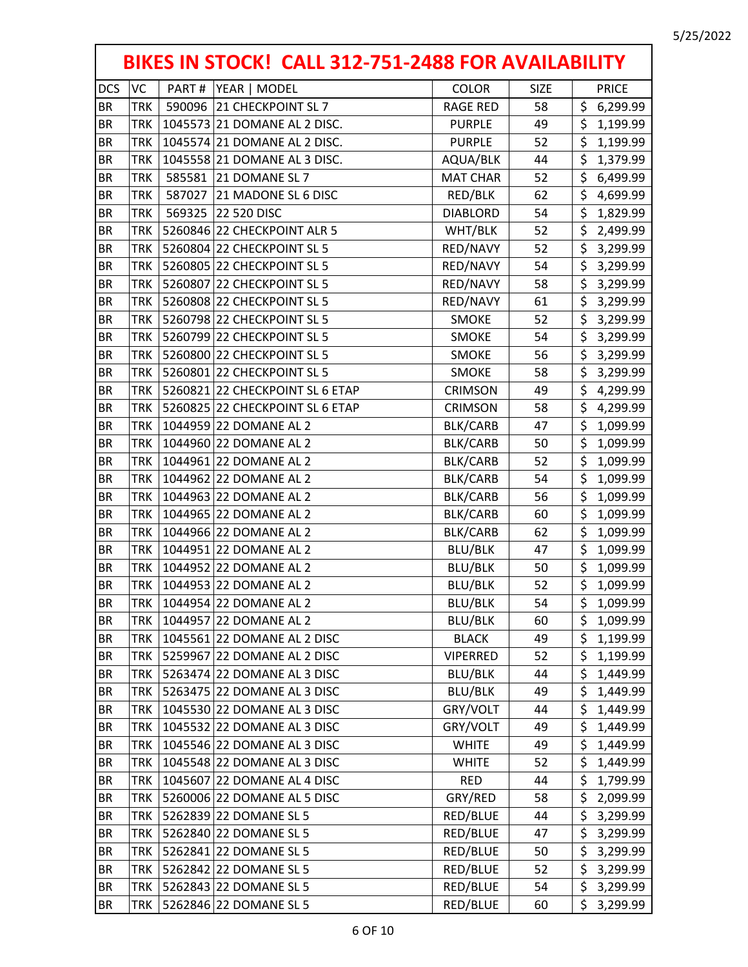|            | BIKES IN STOCK! CALL 312-751-2488 FOR AVAILABILITY |       |                                 |                 |             |                                     |  |  |
|------------|----------------------------------------------------|-------|---------------------------------|-----------------|-------------|-------------------------------------|--|--|
| <b>DCS</b> | VC                                                 | PART# | YEAR   MODEL                    | <b>COLOR</b>    | <b>SIZE</b> | <b>PRICE</b>                        |  |  |
| <b>BR</b>  | <b>TRK</b>                                         |       | 590096 21 CHECKPOINT SL 7       | <b>RAGE RED</b> | 58          | \$<br>6,299.99                      |  |  |
| BR         | <b>TRK</b>                                         |       | 1045573 21 DOMANE AL 2 DISC.    | <b>PURPLE</b>   | 49          | \$<br>1,199.99                      |  |  |
| <b>BR</b>  | <b>TRK</b>                                         |       | 1045574 21 DOMANE AL 2 DISC.    | <b>PURPLE</b>   | 52          | \$<br>1,199.99                      |  |  |
| <b>BR</b>  | <b>TRK</b>                                         |       | 1045558 21 DOMANE AL 3 DISC.    | AQUA/BLK        | 44          | \$<br>1,379.99                      |  |  |
| <b>BR</b>  | <b>TRK</b>                                         |       | 585581 21 DOMANE SL 7           | <b>MAT CHAR</b> | 52          | \$<br>6,499.99                      |  |  |
| <b>BR</b>  | <b>TRK</b>                                         |       | 587027 21 MADONE SL 6 DISC      | RED/BLK         | 62          | \$<br>4,699.99                      |  |  |
| <b>BR</b>  | <b>TRK</b>                                         |       | 569325 22 520 DISC              | <b>DIABLORD</b> | 54          | \$<br>1,829.99                      |  |  |
| <b>BR</b>  | <b>TRK</b>                                         |       | 5260846 22 CHECKPOINT ALR 5     | WHT/BLK         | 52          | \$<br>2,499.99                      |  |  |
| BR         | <b>TRK</b>                                         |       | 5260804 22 CHECKPOINT SL 5      | RED/NAVY        | 52          | \$<br>3,299.99                      |  |  |
| <b>BR</b>  | <b>TRK</b>                                         |       | 5260805 22 CHECKPOINT SL 5      | RED/NAVY        | 54          | \$<br>3,299.99                      |  |  |
| <b>BR</b>  | <b>TRK</b>                                         |       | 5260807 22 CHECKPOINT SL 5      | RED/NAVY        | 58          | \$<br>3,299.99                      |  |  |
| <b>BR</b>  | <b>TRK</b>                                         |       | 5260808 22 CHECKPOINT SL 5      | RED/NAVY        | 61          | \$<br>3,299.99                      |  |  |
| BR         | <b>TRK</b>                                         |       | 5260798 22 CHECKPOINT SL 5      | <b>SMOKE</b>    | 52          | \$<br>3,299.99                      |  |  |
| <b>BR</b>  | <b>TRK</b>                                         |       | 5260799 22 CHECKPOINT SL 5      | <b>SMOKE</b>    | 54          | \$<br>3,299.99                      |  |  |
| BR         | <b>TRK</b>                                         |       | 5260800 22 CHECKPOINT SL 5      | <b>SMOKE</b>    | 56          | \$<br>3,299.99                      |  |  |
| <b>BR</b>  | <b>TRK</b>                                         |       | 5260801 22 CHECKPOINT SL 5      | <b>SMOKE</b>    | 58          | \$<br>3,299.99                      |  |  |
| <b>BR</b>  | <b>TRK</b>                                         |       | 5260821 22 CHECKPOINT SL 6 ETAP | <b>CRIMSON</b>  | 49          | \$<br>4,299.99                      |  |  |
| <b>BR</b>  | <b>TRK</b>                                         |       | 5260825 22 CHECKPOINT SL 6 ETAP | <b>CRIMSON</b>  | 58          | \$<br>4,299.99                      |  |  |
| <b>BR</b>  | <b>TRK</b>                                         |       | 1044959 22 DOMANE AL 2          | <b>BLK/CARB</b> | 47          | \$<br>1,099.99                      |  |  |
| <b>BR</b>  | <b>TRK</b>                                         |       | 1044960 22 DOMANE AL 2          | <b>BLK/CARB</b> | 50          | \$<br>1,099.99                      |  |  |
| BR         | <b>TRK</b>                                         |       | 1044961 22 DOMANE AL 2          | <b>BLK/CARB</b> | 52          | \$<br>1,099.99                      |  |  |
| <b>BR</b>  | <b>TRK</b>                                         |       | 1044962 22 DOMANE AL 2          | <b>BLK/CARB</b> | 54          | \$<br>1,099.99                      |  |  |
| <b>BR</b>  | <b>TRK</b>                                         |       | 1044963 22 DOMANE AL 2          | <b>BLK/CARB</b> | 56          | \$<br>1,099.99                      |  |  |
| <b>BR</b>  | <b>TRK</b>                                         |       | 1044965 22 DOMANE AL 2          | BLK/CARB        | 60          | \$<br>1,099.99                      |  |  |
| <b>BR</b>  | <b>TRK</b>                                         |       | 1044966 22 DOMANE AL 2          | BLK/CARB        | 62          | $\overline{\xi}$<br>1,099.99        |  |  |
| <b>BR</b>  | <b>TRK</b>                                         |       | 1044951 22 DOMANE AL 2          | BLU/BLK         | 47          | \$<br>1,099.99                      |  |  |
| <b>BR</b>  | <b>TRK</b>                                         |       | 1044952 22 DOMANE AL 2          | BLU/BLK         | 50          | \$<br>1,099.99                      |  |  |
| <b>BR</b>  | <b>TRK</b>                                         |       | 1044953 22 DOMANE AL 2          | <b>BLU/BLK</b>  | 52          | $\overline{\mathsf{s}}$<br>1,099.99 |  |  |
| <b>BR</b>  | <b>TRK</b>                                         |       | 1044954 22 DOMANE AL 2          | BLU/BLK         | 54          | \$<br>1,099.99                      |  |  |
| <b>BR</b>  | <b>TRK</b>                                         |       | 1044957 22 DOMANE AL 2          | <b>BLU/BLK</b>  | 60          | \$<br>1,099.99                      |  |  |
| <b>BR</b>  | <b>TRK</b>                                         |       | 1045561 22 DOMANE AL 2 DISC     | <b>BLACK</b>    | 49          | \$<br>1,199.99                      |  |  |
| <b>BR</b>  | <b>TRK</b>                                         |       | 5259967 22 DOMANE AL 2 DISC     | <b>VIPERRED</b> | 52          | \$<br>1,199.99                      |  |  |
| BR         | <b>TRK</b>                                         |       | 5263474 22 DOMANE AL 3 DISC     | BLU/BLK         | 44          | \$<br>1,449.99                      |  |  |
| BR         | <b>TRK</b>                                         |       | 5263475 22 DOMANE AL 3 DISC     | BLU/BLK         | 49          | \$<br>1,449.99                      |  |  |
| BR         | <b>TRK</b>                                         |       | 1045530 22 DOMANE AL 3 DISC     | GRY/VOLT        | 44          | \$<br>1,449.99                      |  |  |
| <b>BR</b>  | <b>TRK</b>                                         |       | 1045532 22 DOMANE AL 3 DISC     | GRY/VOLT        | 49          | \$<br>1,449.99                      |  |  |
| BR         | <b>TRK</b>                                         |       | 1045546 22 DOMANE AL 3 DISC     | <b>WHITE</b>    | 49          | \$<br>1,449.99                      |  |  |
| BR         | <b>TRK</b>                                         |       | 1045548 22 DOMANE AL 3 DISC     | <b>WHITE</b>    | 52          | \$<br>1,449.99                      |  |  |
| <b>BR</b>  | <b>TRK</b>                                         |       | 1045607 22 DOMANE AL 4 DISC     | <b>RED</b>      | 44          | \$<br>1,799.99                      |  |  |
| BR         | <b>TRK</b>                                         |       | 5260006 22 DOMANE AL 5 DISC     | GRY/RED         | 58          | \$<br>2,099.99                      |  |  |
| BR         | <b>TRK</b>                                         |       | 5262839 22 DOMANE SL 5          | RED/BLUE        | 44          | \$<br>3,299.99                      |  |  |
| <b>BR</b>  | <b>TRK</b>                                         |       | 5262840 22 DOMANE SL 5          | RED/BLUE        | 47          | \$<br>3,299.99                      |  |  |
| <b>BR</b>  | <b>TRK</b>                                         |       | 5262841 22 DOMANE SL 5          | RED/BLUE        | 50          | \$<br>3,299.99                      |  |  |
| <b>BR</b>  | <b>TRK</b>                                         |       | 5262842 22 DOMANE SL 5          | RED/BLUE        | 52          | \$<br>3,299.99                      |  |  |
| <b>BR</b>  | <b>TRK</b>                                         |       | 5262843 22 DOMANE SL 5          | RED/BLUE        | 54          | \$<br>3,299.99                      |  |  |
| BR         | <b>TRK</b>                                         |       | 5262846 22 DOMANE SL 5          | RED/BLUE        | 60          | \$<br>3,299.99                      |  |  |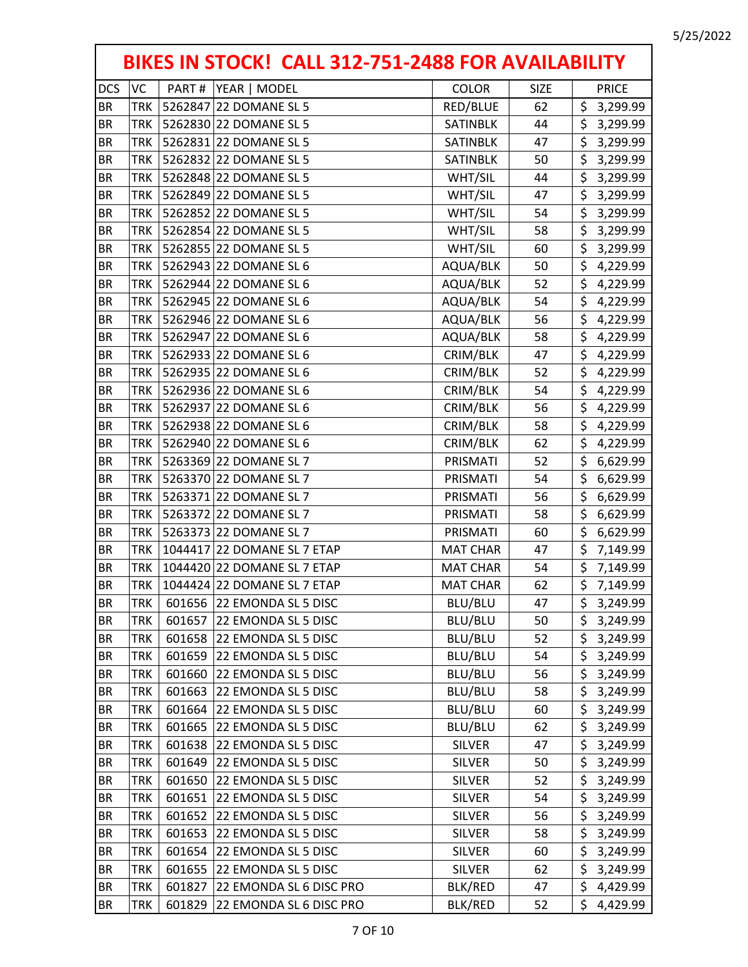|            | BIKES IN STOCK! CALL 312-751-2488 FOR AVAILABILITY |        |                             |                 |             |                        |  |  |  |
|------------|----------------------------------------------------|--------|-----------------------------|-----------------|-------------|------------------------|--|--|--|
| <b>DCS</b> | <b>VC</b>                                          | PART#  | YEAR   MODEL                | <b>COLOR</b>    | <b>SIZE</b> | <b>PRICE</b>           |  |  |  |
| <b>BR</b>  | <b>TRK</b>                                         |        | 5262847 22 DOMANE SL 5      | RED/BLUE        | 62          | \$<br>3,299.99         |  |  |  |
| <b>BR</b>  | <b>TRK</b>                                         |        | 5262830 22 DOMANE SL 5      | SATINBLK        | 44          | \$<br>3,299.99         |  |  |  |
| <b>BR</b>  | <b>TRK</b>                                         |        | 5262831 22 DOMANE SL 5      | SATINBLK        | 47          | \$<br>3,299.99         |  |  |  |
| <b>BR</b>  | <b>TRK</b>                                         |        | 5262832 22 DOMANE SL 5      | SATINBLK        | 50          | \$<br>3,299.99         |  |  |  |
| BR         | <b>TRK</b>                                         |        | 5262848 22 DOMANE SL 5      | WHT/SIL         | 44          | \$<br>3,299.99         |  |  |  |
| <b>BR</b>  | <b>TRK</b>                                         |        | 5262849 22 DOMANE SL 5      | WHT/SIL         | 47          | \$<br>3,299.99         |  |  |  |
| <b>BR</b>  | <b>TRK</b>                                         |        | 5262852 22 DOMANE SL 5      | WHT/SIL         | 54          | \$<br>3,299.99         |  |  |  |
| <b>BR</b>  | <b>TRK</b>                                         |        | 5262854 22 DOMANE SL 5      | WHT/SIL         | 58          | \$<br>3,299.99         |  |  |  |
| <b>BR</b>  | <b>TRK</b>                                         |        | 5262855 22 DOMANE SL 5      | WHT/SIL         | 60          | \$<br>3,299.99         |  |  |  |
| <b>BR</b>  | TRK                                                |        | 5262943 22 DOMANE SL 6      | AQUA/BLK        | 50          | \$<br>4,229.99         |  |  |  |
| <b>BR</b>  | <b>TRK</b>                                         |        | 5262944 22 DOMANE SL 6      | AQUA/BLK        | 52          | \$4,229.99             |  |  |  |
| BR         | <b>TRK</b>                                         |        | 5262945 22 DOMANE SL 6      | AQUA/BLK        | 54          | \$<br>4,229.99         |  |  |  |
| <b>BR</b>  | <b>TRK</b>                                         |        | 5262946 22 DOMANE SL 6      | AQUA/BLK        | 56          | \$<br>4,229.99         |  |  |  |
| <b>BR</b>  | <b>TRK</b>                                         |        | 5262947 22 DOMANE SL 6      | AQUA/BLK        | 58          | \$<br>4,229.99         |  |  |  |
| <b>BR</b>  | <b>TRK</b>                                         |        | 5262933 22 DOMANE SL 6      | CRIM/BLK        | 47          | \$<br>4,229.99         |  |  |  |
| <b>BR</b>  | <b>TRK</b>                                         |        | 5262935 22 DOMANE SL 6      | CRIM/BLK        | 52          | \$<br>4,229.99         |  |  |  |
| <b>BR</b>  | TRK                                                |        | 5262936 22 DOMANE SL 6      | CRIM/BLK        | 54          | \$<br>4,229.99         |  |  |  |
| BR         | <b>TRK</b>                                         |        | 5262937 22 DOMANE SL 6      | CRIM/BLK        | 56          | \$<br>4,229.99         |  |  |  |
| <b>BR</b>  | <b>TRK</b>                                         |        | 5262938 22 DOMANE SL 6      | CRIM/BLK        | 58          | \$<br>4,229.99         |  |  |  |
| <b>BR</b>  | <b>TRK</b>                                         |        | 5262940 22 DOMANE SL 6      | CRIM/BLK        | 62          | \$<br>4,229.99         |  |  |  |
| <b>BR</b>  | <b>TRK</b>                                         |        | 5263369 22 DOMANE SL 7      | PRISMATI        | 52          | \$<br>6,629.99         |  |  |  |
| <b>BR</b>  | <b>TRK</b>                                         |        | 5263370 22 DOMANE SL 7      | PRISMATI        | 54          | \$<br>6,629.99         |  |  |  |
| <b>BR</b>  | <b>TRK</b>                                         |        | 5263371 22 DOMANE SL 7      | PRISMATI        | 56          | \$<br>6,629.99         |  |  |  |
| BR         | <b>TRK</b>                                         |        | 5263372 22 DOMANE SL 7      | PRISMATI        | 58          | \$<br>6,629.99         |  |  |  |
| <b>BR</b>  | <b>TRK</b>                                         |        | 5263373 22 DOMANE SL 7      | PRISMATI        | 60          | \$<br>6,629.99         |  |  |  |
| <b>BR</b>  | <b>TRK</b>                                         |        | 1044417 22 DOMANE SL 7 ETAP | <b>MAT CHAR</b> | 47          | \$<br>7,149.99         |  |  |  |
| <b>BR</b>  | TRK                                                |        | 1044420 22 DOMANE SL 7 ETAP | <b>MAT CHAR</b> | 54          | \$<br>7,149.99         |  |  |  |
| <b>BR</b>  | <b>TRK</b>                                         |        | 1044424 22 DOMANE SL 7 ETAP | <b>MAT CHAR</b> | 62          | \$<br>7,149.99         |  |  |  |
| <b>BR</b>  | <b>TRK</b>                                         | 601656 | 22 EMONDA SL 5 DISC         | BLU/BLU         | 47          | $\frac{1}{5}$ 3,249.99 |  |  |  |
| <b>BR</b>  | TRK                                                | 601657 | 22 EMONDA SL 5 DISC         | BLU/BLU         | 50          | \$<br>3,249.99         |  |  |  |
| <b>BR</b>  | <b>TRK</b>                                         | 601658 | 22 EMONDA SL 5 DISC         | BLU/BLU         | 52          | \$<br>3,249.99         |  |  |  |
| <b>BR</b>  | <b>TRK</b>                                         | 601659 | 22 EMONDA SL 5 DISC         | BLU/BLU         | 54          | \$<br>3,249.99         |  |  |  |
| <b>BR</b>  | <b>TRK</b>                                         | 601660 | 22 EMONDA SL 5 DISC         | BLU/BLU         | 56          | \$<br>3,249.99         |  |  |  |
| <b>BR</b>  | TRK                                                | 601663 | 22 EMONDA SL 5 DISC         | BLU/BLU         | 58          | \$<br>3,249.99         |  |  |  |
| <b>BR</b>  | <b>TRK</b>                                         | 601664 | 22 EMONDA SL 5 DISC         | BLU/BLU         | 60          | \$<br>3,249.99         |  |  |  |
| BR         | TRK                                                | 601665 | 22 EMONDA SL 5 DISC         | BLU/BLU         | 62          | \$<br>3,249.99         |  |  |  |
| <b>BR</b>  | <b>TRK</b>                                         | 601638 | 22 EMONDA SL 5 DISC         | <b>SILVER</b>   | 47          | \$<br>3,249.99         |  |  |  |
| <b>BR</b>  | <b>TRK</b>                                         | 601649 | 22 EMONDA SL 5 DISC         | SILVER          | 50          | \$<br>3,249.99         |  |  |  |
| <b>BR</b>  | <b>TRK</b>                                         | 601650 | 22 EMONDA SL 5 DISC         | <b>SILVER</b>   | 52          | \$<br>3,249.99         |  |  |  |
| <b>BR</b>  | <b>TRK</b>                                         | 601651 | 22 EMONDA SL 5 DISC         | <b>SILVER</b>   | 54          | \$<br>3,249.99         |  |  |  |
| <b>BR</b>  | TRK                                                | 601652 | 22 EMONDA SL 5 DISC         | <b>SILVER</b>   | 56          | \$<br>3,249.99         |  |  |  |
| <b>BR</b>  | <b>TRK</b>                                         | 601653 | 22 EMONDA SL 5 DISC         | <b>SILVER</b>   | 58          | \$<br>3,249.99         |  |  |  |
| <b>BR</b>  | TRK                                                | 601654 | 22 EMONDA SL 5 DISC         | <b>SILVER</b>   | 60          | \$<br>3,249.99         |  |  |  |
| <b>BR</b>  | <b>TRK</b>                                         | 601655 | 22 EMONDA SL 5 DISC         | <b>SILVER</b>   | 62          | \$<br>3,249.99         |  |  |  |
| <b>BR</b>  | <b>TRK</b>                                         | 601827 | 22 EMONDA SL 6 DISC PRO     | BLK/RED         | 47          | \$<br>4,429.99         |  |  |  |
| <b>BR</b>  | TRK                                                | 601829 | 22 EMONDA SL 6 DISC PRO     | BLK/RED         | 52          | \$<br>4,429.99         |  |  |  |

г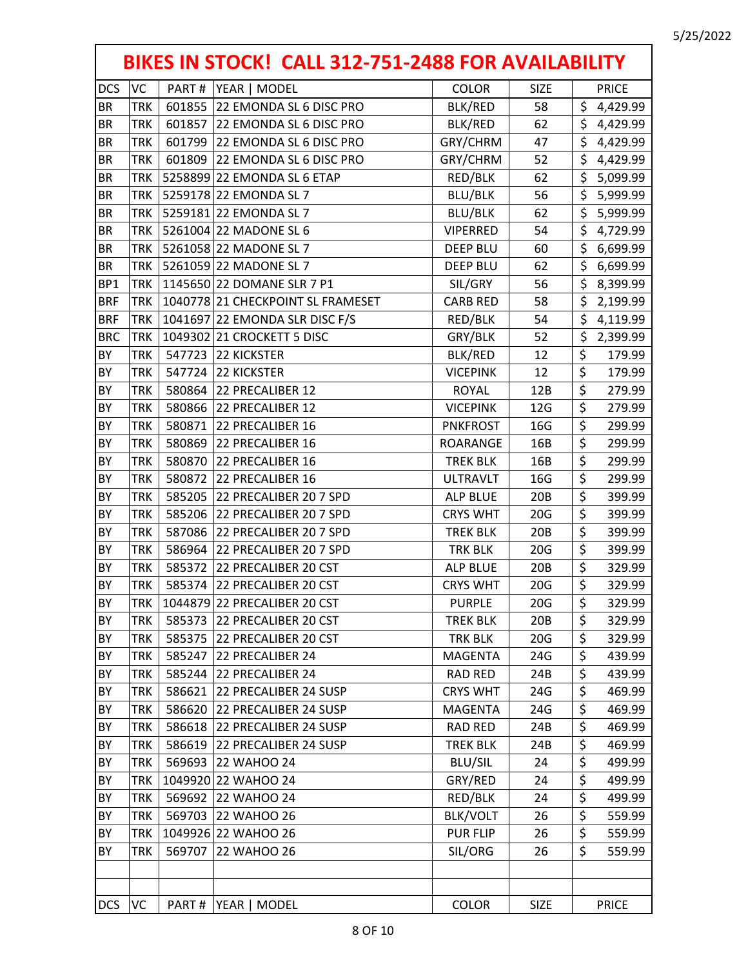|                 |            |        | BIKES IN STOCK! CALL 312-751-2488 FOR AVAILABILITY |                 |             |                                 |              |
|-----------------|------------|--------|----------------------------------------------------|-----------------|-------------|---------------------------------|--------------|
| <b>DCS</b>      | VC         | PART#  | YEAR   MODEL                                       | <b>COLOR</b>    | <b>SIZE</b> |                                 | <b>PRICE</b> |
| <b>BR</b>       | <b>TRK</b> |        | 601855 22 EMONDA SL 6 DISC PRO                     | BLK/RED         | 58          | \$                              | 4,429.99     |
| <b>BR</b>       | <b>TRK</b> | 601857 | 22 EMONDA SL 6 DISC PRO                            | BLK/RED         | 62          | \$                              | 4,429.99     |
| <b>BR</b>       | TRK        | 601799 | 22 EMONDA SL 6 DISC PRO                            | GRY/CHRM        | 47          | \$                              | 4,429.99     |
| <b>BR</b>       | <b>TRK</b> | 601809 | 22 EMONDA SL 6 DISC PRO                            | GRY/CHRM        | 52          | \$                              | 4,429.99     |
| <b>BR</b>       | TRK        |        | 5258899 22 EMONDA SL 6 ETAP                        | RED/BLK         | 62          | \$                              | 5,099.99     |
| <b>BR</b>       | <b>TRK</b> |        | 5259178 22 EMONDA SL 7                             | <b>BLU/BLK</b>  | 56          | \$                              | 5,999.99     |
| <b>BR</b>       | <b>TRK</b> |        | 5259181 22 EMONDA SL 7                             | <b>BLU/BLK</b>  | 62          | \$                              | 5,999.99     |
| <b>BR</b>       | TRK        |        | 5261004 22 MADONE SL 6                             | <b>VIPERRED</b> | 54          | \$                              | 4,729.99     |
| BR              | <b>TRK</b> |        | 5261058 22 MADONE SL 7                             | <b>DEEP BLU</b> | 60          | \$                              | 6,699.99     |
| <b>BR</b>       | TRK        |        | 5261059 22 MADONE SL 7                             | <b>DEEP BLU</b> | 62          | \$                              | 6,699.99     |
| BP <sub>1</sub> | <b>TRK</b> |        | 1145650 22 DOMANE SLR 7 P1                         | SIL/GRY         | 56          | \$                              | 8,399.99     |
| <b>BRF</b>      | TRK        |        | 1040778 21 CHECKPOINT SL FRAMESET                  | <b>CARB RED</b> | 58          | \$                              | 2,199.99     |
| <b>BRF</b>      | TRK        |        | 1041697 22 EMONDA SLR DISC F/S                     | RED/BLK         | 54          | \$                              | 4,119.99     |
| <b>BRC</b>      | <b>TRK</b> |        | 1049302 21 CROCKETT 5 DISC                         | GRY/BLK         | 52          | $\overline{\xi}$                | 2,399.99     |
| BY              | TRK        |        | 547723 22 KICKSTER                                 | <b>BLK/RED</b>  | 12          | \$                              | 179.99       |
| BY              | <b>TRK</b> | 547724 | 22 KICKSTER                                        | <b>VICEPINK</b> | 12          | $\overline{\boldsymbol{\zeta}}$ | 179.99       |
| BY              | <b>TRK</b> | 580864 | 22 PRECALIBER 12                                   | <b>ROYAL</b>    | 12B         | $\overline{\boldsymbol{\zeta}}$ | 279.99       |
| BY              | <b>TRK</b> |        | 580866 22 PRECALIBER 12                            | <b>VICEPINK</b> | 12G         | \$                              | 279.99       |
| BY              | <b>TRK</b> | 580871 | 22 PRECALIBER 16                                   | <b>PNKFROST</b> | 16G         | $\overline{\xi}$                | 299.99       |
| BY              | <b>TRK</b> | 580869 | 22 PRECALIBER 16                                   | ROARANGE        | 16B         | $\overline{\boldsymbol{\zeta}}$ | 299.99       |
| BY              | <b>TRK</b> | 580870 | 22 PRECALIBER 16                                   | <b>TREK BLK</b> | 16B         | $\overline{\boldsymbol{\zeta}}$ | 299.99       |
| BY              | TRK        | 580872 | 22 PRECALIBER 16                                   | <b>ULTRAVLT</b> | 16G         | $\overline{\boldsymbol{\zeta}}$ | 299.99       |
| BY              | <b>TRK</b> | 585205 | 22 PRECALIBER 20 7 SPD                             | <b>ALP BLUE</b> | 20B         | \$                              | 399.99       |
| BY              | TRK        |        | 585206 22 PRECALIBER 20 7 SPD                      | <b>CRYS WHT</b> | 20G         | \$                              | 399.99       |
| BY              | <b>TRK</b> |        | 587086 22 PRECALIBER 20 7 SPD                      | <b>TREK BLK</b> | 20B         | $\overline{\boldsymbol{\zeta}}$ | 399.99       |
| BY              | <b>TRK</b> | 586964 | 22 PRECALIBER 20 7 SPD                             | <b>TRK BLK</b>  | 20G         | $\overline{\xi}$                | 399.99       |
| BY              | TRK        | 585372 | 22 PRECALIBER 20 CST                               | ALP BLUE        | 20B         | \$                              | 329.99       |
| BY              | <b>TRK</b> |        | 585374 22 PRECALIBER 20 CST                        | <b>CRYS WHT</b> | 20G         | $\overline{\boldsymbol{\zeta}}$ | 329.99       |
| BY              | TRK        |        | 1044879 22 PRECALIBER 20 CST                       | <b>PURPLE</b>   | 20G         | Ş                               | 329.99       |
| BY              | TRK        | 585373 | 22 PRECALIBER 20 CST                               | <b>TREK BLK</b> | 20B         | \$                              | 329.99       |
| BY              | TRK        |        | 585375 22 PRECALIBER 20 CST                        | <b>TRK BLK</b>  | 20G         | \$                              | 329.99       |
| BY              | TRK        |        | 585247 22 PRECALIBER 24                            | <b>MAGENTA</b>  | 24G         | \$                              | 439.99       |
| BY              | TRK        | 585244 | 22 PRECALIBER 24                                   | <b>RAD RED</b>  | 24B         | \$                              | 439.99       |
| BY              | TRK        | 586621 | 22 PRECALIBER 24 SUSP                              | <b>CRYS WHT</b> | 24G         | \$                              | 469.99       |
| BY              | <b>TRK</b> | 586620 | 22 PRECALIBER 24 SUSP                              | MAGENTA         | 24G         | \$                              | 469.99       |
| BY              | TRK        | 586618 | 22 PRECALIBER 24 SUSP                              | <b>RAD RED</b>  | 24B         | \$                              | 469.99       |
| BY              | TRK        | 586619 | 22 PRECALIBER 24 SUSP                              | <b>TREK BLK</b> | 24B         | \$                              | 469.99       |
| BY              | TRK        | 569693 | 22 WAHOO 24                                        | <b>BLU/SIL</b>  | 24          | \$                              | 499.99       |
| BY              | TRK        |        | 1049920 22 WAHOO 24                                | GRY/RED         | 24          | \$                              | 499.99       |
| BY              | TRK        |        | 569692 22 WAHOO 24                                 | RED/BLK         | 24          | \$                              | 499.99       |
| BY              | TRK        |        | 569703 22 WAHOO 26                                 | <b>BLK/VOLT</b> | 26          | \$                              | 559.99       |
| BY              | <b>TRK</b> |        | 1049926 22 WAHOO 26                                | <b>PUR FLIP</b> | 26          | \$                              | 559.99       |
| BY              | TRK        | 569707 | 22 WAHOO 26                                        | SIL/ORG         | 26          | \$                              | 559.99       |
|                 |            |        |                                                    |                 |             |                                 |              |
| <b>DCS</b>      | VC         | PART#  | YEAR   MODEL                                       | COLOR           | <b>SIZE</b> |                                 | <b>PRICE</b> |

г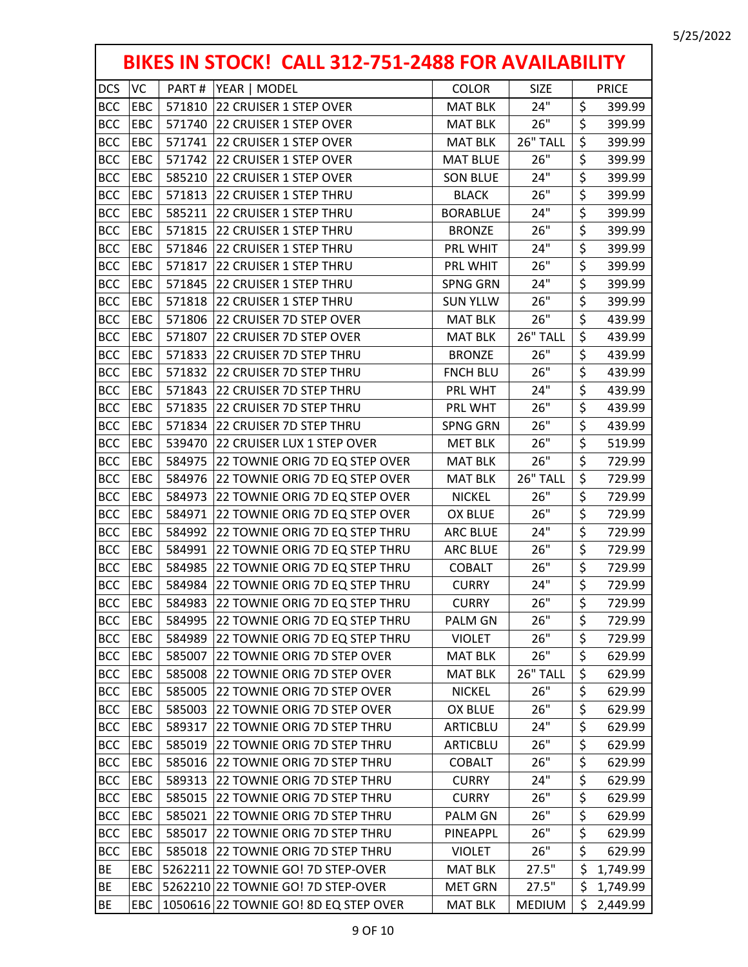|            | BIKES IN STOCK! CALL 312-751-2488 FOR AVAILABILITY |        |                                       |                 |               |    |              |  |  |
|------------|----------------------------------------------------|--------|---------------------------------------|-----------------|---------------|----|--------------|--|--|
| <b>DCS</b> | VC                                                 | PART#  | YEAR   MODEL                          | <b>COLOR</b>    | <b>SIZE</b>   |    | <b>PRICE</b> |  |  |
| <b>BCC</b> | EBC                                                | 571810 | 22 CRUISER 1 STEP OVER                | <b>MAT BLK</b>  | 24"           | \$ | 399.99       |  |  |
| <b>BCC</b> | EBC                                                | 571740 | 22 CRUISER 1 STEP OVER                | <b>MAT BLK</b>  | 26"           | \$ | 399.99       |  |  |
| <b>BCC</b> | EBC                                                | 571741 | 22 CRUISER 1 STEP OVER                | <b>MAT BLK</b>  | 26" TALL      | \$ | 399.99       |  |  |
| <b>BCC</b> | EBC                                                | 571742 | 22 CRUISER 1 STEP OVER                | <b>MAT BLUE</b> | 26"           | \$ | 399.99       |  |  |
| <b>BCC</b> | EBC                                                | 585210 | 22 CRUISER 1 STEP OVER                | <b>SON BLUE</b> | 24"           | \$ | 399.99       |  |  |
| <b>BCC</b> | EBC                                                | 571813 | 22 CRUISER 1 STEP THRU                | <b>BLACK</b>    | 26"           | \$ | 399.99       |  |  |
| <b>BCC</b> | EBC                                                | 585211 | 22 CRUISER 1 STEP THRU                | <b>BORABLUE</b> | 24"           | \$ | 399.99       |  |  |
| <b>BCC</b> | EBC                                                | 571815 | 22 CRUISER 1 STEP THRU                | <b>BRONZE</b>   | 26"           | \$ | 399.99       |  |  |
| <b>BCC</b> | EBC                                                | 571846 | 22 CRUISER 1 STEP THRU                | PRL WHIT        | 24"           | \$ | 399.99       |  |  |
| <b>BCC</b> | EBC                                                | 571817 | 22 CRUISER 1 STEP THRU                | PRL WHIT        | 26"           | \$ | 399.99       |  |  |
| <b>BCC</b> | EBC                                                | 571845 | 22 CRUISER 1 STEP THRU                | <b>SPNG GRN</b> | 24"           | \$ | 399.99       |  |  |
| <b>BCC</b> | EBC                                                | 571818 | 22 CRUISER 1 STEP THRU                | <b>SUN YLLW</b> | 26"           | \$ | 399.99       |  |  |
| <b>BCC</b> | EBC                                                | 571806 | 22 CRUISER 7D STEP OVER               | <b>MAT BLK</b>  | 26"           | \$ | 439.99       |  |  |
| <b>BCC</b> | EBC                                                | 571807 | 22 CRUISER 7D STEP OVER               | <b>MAT BLK</b>  | 26" TALL      | \$ | 439.99       |  |  |
| <b>BCC</b> | EBC                                                | 571833 | 22 CRUISER 7D STEP THRU               | <b>BRONZE</b>   | 26"           | \$ | 439.99       |  |  |
| <b>BCC</b> | EBC                                                | 571832 | 22 CRUISER 7D STEP THRU               | <b>FNCH BLU</b> | 26"           | \$ | 439.99       |  |  |
| <b>BCC</b> | EBC                                                | 571843 | 22 CRUISER 7D STEP THRU               | PRL WHT         | 24"           | \$ | 439.99       |  |  |
| <b>BCC</b> | EBC                                                | 571835 | 22 CRUISER 7D STEP THRU               | PRL WHT         | 26"           | \$ | 439.99       |  |  |
| <b>BCC</b> | EBC                                                | 571834 | 22 CRUISER 7D STEP THRU               | <b>SPNG GRN</b> | 26"           | \$ | 439.99       |  |  |
| <b>BCC</b> | EBC                                                | 539470 | 22 CRUISER LUX 1 STEP OVER            | <b>MET BLK</b>  | 26"           | \$ | 519.99       |  |  |
| <b>BCC</b> | EBC                                                | 584975 | 22 TOWNIE ORIG 7D EQ STEP OVER        | <b>MAT BLK</b>  | 26"           | \$ | 729.99       |  |  |
| <b>BCC</b> | EBC                                                | 584976 | 22 TOWNIE ORIG 7D EQ STEP OVER        | <b>MAT BLK</b>  | 26" TALL      | \$ | 729.99       |  |  |
| <b>BCC</b> | EBC                                                | 584973 | 22 TOWNIE ORIG 7D EQ STEP OVER        | <b>NICKEL</b>   | 26"           | \$ | 729.99       |  |  |
| <b>BCC</b> | EBC                                                | 584971 | 22 TOWNIE ORIG 7D EQ STEP OVER        | OX BLUE         | 26"           | \$ | 729.99       |  |  |
| <b>BCC</b> | EBC                                                | 584992 | 22 TOWNIE ORIG 7D EQ STEP THRU        | <b>ARC BLUE</b> | 24"           | \$ | 729.99       |  |  |
| <b>BCC</b> | EBC                                                | 584991 | 22 TOWNIE ORIG 7D EQ STEP THRU        | <b>ARC BLUE</b> | 26"           | \$ | 729.99       |  |  |
| <b>BCC</b> | EBC                                                | 584985 | 22 TOWNIE ORIG 7D EQ STEP THRU        | <b>COBALT</b>   | 26"           | \$ | 729.99       |  |  |
| <b>BCC</b> | EBC                                                | 584984 | 22 TOWNIE ORIG 7D EQ STEP THRU        | <b>CURRY</b>    | 24"           | \$ | 729.99       |  |  |
| <b>BCC</b> | EBC                                                | 584983 | 22 TOWNIE ORIG 7D EQ STEP THRU        | <b>CURRY</b>    | 26"           | \$ | 729.99       |  |  |
| <b>BCC</b> | EBC                                                | 584995 | 22 TOWNIE ORIG 7D EQ STEP THRU        | <b>PALM GN</b>  | 26"           | \$ | 729.99       |  |  |
| <b>BCC</b> | EBC                                                | 584989 | 22 TOWNIE ORIG 7D EQ STEP THRU        | <b>VIOLET</b>   | 26"           | \$ | 729.99       |  |  |
| <b>BCC</b> | EBC                                                | 585007 | 22 TOWNIE ORIG 7D STEP OVER           | <b>MAT BLK</b>  | 26"           | \$ | 629.99       |  |  |
| <b>BCC</b> | EBC                                                | 585008 | 22 TOWNIE ORIG 7D STEP OVER           | <b>MAT BLK</b>  | 26" TALL      | \$ | 629.99       |  |  |
| <b>BCC</b> | EBC                                                | 585005 | 22 TOWNIE ORIG 7D STEP OVER           | <b>NICKEL</b>   | 26"           | \$ | 629.99       |  |  |
| <b>BCC</b> | EBC                                                | 585003 | 22 TOWNIE ORIG 7D STEP OVER           | OX BLUE         | 26"           | \$ | 629.99       |  |  |
| <b>BCC</b> | EBC                                                | 589317 | 22 TOWNIE ORIG 7D STEP THRU           | ARTICBLU        | 24"           | \$ | 629.99       |  |  |
| <b>BCC</b> | EBC                                                | 585019 | 22 TOWNIE ORIG 7D STEP THRU           | ARTICBLU        | 26"           | \$ | 629.99       |  |  |
| <b>BCC</b> | EBC                                                | 585016 | 22 TOWNIE ORIG 7D STEP THRU           | <b>COBALT</b>   | 26"           | \$ | 629.99       |  |  |
| <b>BCC</b> | EBC                                                | 589313 | 22 TOWNIE ORIG 7D STEP THRU           | <b>CURRY</b>    | 24"           | \$ | 629.99       |  |  |
| <b>BCC</b> | EBC                                                | 585015 | 22 TOWNIE ORIG 7D STEP THRU           | <b>CURRY</b>    | 26"           | \$ | 629.99       |  |  |
| <b>BCC</b> | EBC                                                | 585021 | 22 TOWNIE ORIG 7D STEP THRU           | PALM GN         | 26"           | \$ | 629.99       |  |  |
| <b>BCC</b> | EBC                                                | 585017 | 22 TOWNIE ORIG 7D STEP THRU           | PINEAPPL        | 26"           | \$ | 629.99       |  |  |
| <b>BCC</b> | EBC                                                | 585018 | 22 TOWNIE ORIG 7D STEP THRU           | <b>VIOLET</b>   | 26"           | \$ | 629.99       |  |  |
| BE         | EBC                                                |        | 5262211 22 TOWNIE GO! 7D STEP-OVER    | <b>MAT BLK</b>  | 27.5"         | \$ | 1,749.99     |  |  |
| BE         | EBC                                                |        | 5262210 22 TOWNIE GO! 7D STEP-OVER    | <b>MET GRN</b>  | 27.5"         | \$ | 1,749.99     |  |  |
| BE         | EBC                                                |        | 1050616 22 TOWNIE GO! 8D EQ STEP OVER | <b>MAT BLK</b>  | <b>MEDIUM</b> | \$ | 2,449.99     |  |  |